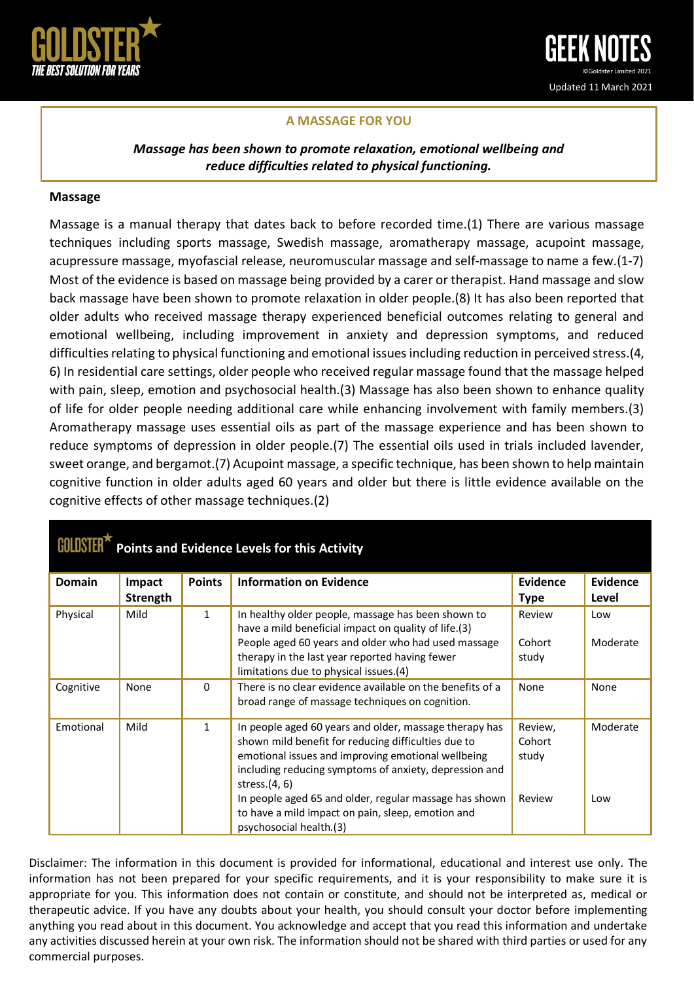

## **A MASSAGE FOR YOU**

*Massage has been shown to promote relaxation, emotional wellbeing and reduce difficulties related to physical functioning.*

## **Massage**

Massage is a manual therapy that dates back to before recorded time.(1) There are various massage techniques including sports massage, Swedish massage, aromatherapy massage, acupoint massage, acupressure massage, myofascial release, neuromuscular massage and self-massage to name a few.(1-7) Most of the evidence is based on massage being provided by a carer or therapist. Hand massage and slow back massage have been shown to promote relaxation in older people.(8) It has also been reported that older adults who received massage therapy experienced beneficial outcomes relating to general and emotional wellbeing, including improvement in anxiety and depression symptoms, and reduced difficulties relating to physical functioning and emotional issues including reduction in perceived stress.(4, 6) In residential care settings, older people who received regular massage found that the massage helped with pain, sleep, emotion and psychosocial health.(3) Massage has also been shown to enhance quality of life for older people needing additional care while enhancing involvement with family members.(3) Aromatherapy massage uses essential oils as part of the massage experience and has been shown to reduce symptoms of depression in older people.(7) The essential oils used in trials included lavender, sweet orange, and bergamot.(7) Acupoint massage, a specific technique, has been shown to help maintain cognitive function in older adults aged 60 years and older but there is little evidence available on the cognitive effects of other massage techniques.(2)

| <b>Points and Evidence Levels for this Activity</b> |                           |               |                                                                                                                                                                                                                                                                                                                                                                                             |                                      |                   |
|-----------------------------------------------------|---------------------------|---------------|---------------------------------------------------------------------------------------------------------------------------------------------------------------------------------------------------------------------------------------------------------------------------------------------------------------------------------------------------------------------------------------------|--------------------------------------|-------------------|
| <b>Domain</b>                                       | Impact<br><b>Strength</b> | <b>Points</b> | <b>Information on Evidence</b>                                                                                                                                                                                                                                                                                                                                                              | Evidence<br><b>Type</b>              | Evidence<br>Level |
| Physical                                            | Mild                      | $\mathbf{1}$  | In healthy older people, massage has been shown to<br>have a mild beneficial impact on quality of life.(3)<br>People aged 60 years and older who had used massage<br>therapy in the last year reported having fewer<br>limitations due to physical issues.(4)                                                                                                                               | Review<br>Cohort<br>study            | Low<br>Moderate   |
| Cognitive                                           | None                      | $\Omega$      | There is no clear evidence available on the benefits of a<br>broad range of massage techniques on cognition.                                                                                                                                                                                                                                                                                | None                                 | None              |
| Emotional                                           | Mild                      | $\mathbf{1}$  | In people aged 60 years and older, massage therapy has<br>shown mild benefit for reducing difficulties due to<br>emotional issues and improving emotional wellbeing<br>including reducing symptoms of anxiety, depression and<br>stress. $(4, 6)$<br>In people aged 65 and older, regular massage has shown<br>to have a mild impact on pain, sleep, emotion and<br>psychosocial health.(3) | Review,<br>Cohort<br>study<br>Review | Moderate<br>Low   |

Disclaimer: The information in this document is provided for informational, educational and interest use only. The information has not been prepared for your specific requirements, and it is your responsibility to make sure it is appropriate for you. This information does not contain or constitute, and should not be interpreted as, medical or therapeutic advice. If you have any doubts about your health, you should consult your doctor before implementing anything you read about in this document. You acknowledge and accept that you read this information and undertake any activities discussed herein at your own risk. The information should not be shared with third parties or used for any commercial purposes.